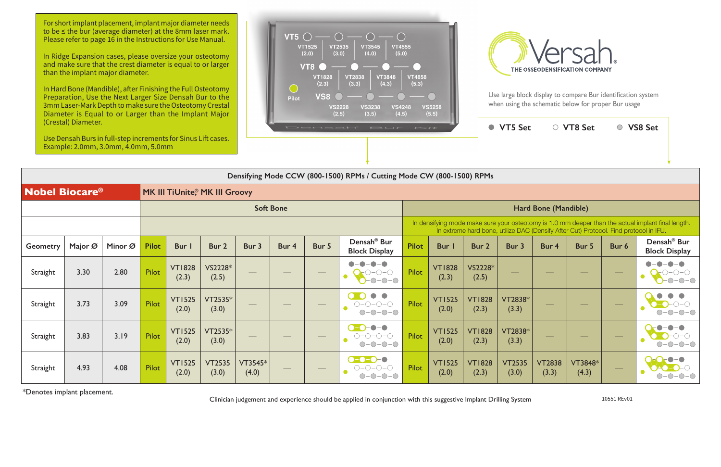Use large block display to compare Bur identification system when using the schematic below for proper Bur usage

 $VTFC_{\text{eff}}$   $\cap$   $VTPC_{\text{eff}}$   $\cap$   $VCDC_{\text{eff}}$ 

|                                                                   |         | Use Densah Burs in full-step increments for Sinus Lift cases.<br>Example: 2.0mm, 3.0mm, 4.0mm, 5.0mm |              |                        |                        |                  |                  |       | Densah Bur <i>Kit</i>                                                          |                                                                                                                                                                                             |                        | $\blacksquare$         | <b>VID SET</b>         |                        | $\cup$ v i o pet                            | $\cup$           | <b>UPC QCA</b>                                  |  |  |
|-------------------------------------------------------------------|---------|------------------------------------------------------------------------------------------------------|--------------|------------------------|------------------------|------------------|------------------|-------|--------------------------------------------------------------------------------|---------------------------------------------------------------------------------------------------------------------------------------------------------------------------------------------|------------------------|------------------------|------------------------|------------------------|---------------------------------------------|------------------|-------------------------------------------------|--|--|
|                                                                   |         |                                                                                                      |              |                        |                        |                  |                  |       | Densifying Mode CCW (800-1500) RPMs / Cutting Mode CW (800-1500) RPMs          |                                                                                                                                                                                             |                        |                        |                        |                        |                                             |                  |                                                 |  |  |
| <b>Nobel Biocare<sup>®</sup></b><br>MK III TiUnite, MK III Groovy |         |                                                                                                      |              |                        |                        |                  |                  |       |                                                                                |                                                                                                                                                                                             |                        |                        |                        |                        |                                             |                  |                                                 |  |  |
|                                                                   |         |                                                                                                      |              |                        |                        |                  | <b>Soft Bone</b> |       |                                                                                |                                                                                                                                                                                             |                        |                        | Hard Bone (Mandible)   |                        |                                             |                  |                                                 |  |  |
|                                                                   |         |                                                                                                      |              |                        |                        |                  |                  |       |                                                                                | In densifying mode make sure your osteotomy is 1.0 mm deeper than the actual implant final length.<br>In extreme hard bone, utilize DAC (Densify After Cut) Protocol. Find protocol in IFU. |                        |                        |                        |                        |                                             |                  |                                                 |  |  |
| <b>Geometry</b>                                                   | Major Ø | Minor Ø                                                                                              | <b>Pilot</b> | <b>Bur</b> I           | Bur 2                  | Bur 3            | Bur 4            | Bur 5 | Densah <sup>®</sup> Bur<br><b>Block Display</b>                                | <b>Pilot</b>                                                                                                                                                                                | Bur I                  | Bur 2                  | Bur 3                  | Bur 4                  | Bur 5                                       | Bur 6            | Densah <sup>®</sup> Bur<br><b>Block Display</b> |  |  |
| Straight                                                          | 3.30    | 2.80                                                                                                 | Pilot        | <b>VT1828</b><br>(2.3) | VS2228*<br>(2.5)       |                  |                  |       | $\blacksquare$<br>$\bigcirc$ -0-0-0<br>$-0-0-0$                                | Pilot                                                                                                                                                                                       | <b>VT1828</b><br>(2.3) | VS2228*<br>(2.5)       |                        | __                     | $\hspace{1.0cm} \overbrace{\hspace{1.0cm}}$ | $\hspace{0.1cm}$ |                                                 |  |  |
| Straight                                                          | 3.73    | 3.09                                                                                                 | Pilot        | <b>VT1525</b><br>(2.0) | $VT2535*$<br>(3.0)     |                  |                  |       | $-\bullet$<br>$O-O-O-O$<br>$-\bigcirc$                                         | <b>Pilot</b>                                                                                                                                                                                | <b>VT1525</b><br>(2.0) | <b>VT1828</b><br>(2.3) | VT2838*<br>(3.3)       |                        |                                             |                  |                                                 |  |  |
| Straight                                                          | 3.83    | 3.19                                                                                                 | Pilot        | <b>VT1525</b><br>(2.0) | $VT2535*$<br>(3.0)     |                  |                  |       | $\bigcirc$ - $\bigcirc$ - $\bigcirc$ - $\bigcirc$<br>$O-O-O-O-$<br>$O-O-O-O$   | Pilot                                                                                                                                                                                       | <b>VT1525</b><br>(2.0) | <b>VT1828</b><br>(2.3) | VT2838*<br>(3.3)       |                        |                                             |                  |                                                 |  |  |
| Straight                                                          | 4.93    | 4.08                                                                                                 | <b>Pilot</b> | <b>VT1525</b><br>(2.0) | <b>VT2535</b><br>(3.0) | VT3545*<br>(4.0) |                  |       | $\Omega$ . $\Omega$ . $\Omega$ . $\Omega$<br>$O-O-O-O$<br>$-0-0-0$<br>$(\ )$ - | Pilot                                                                                                                                                                                       | <b>VT1525</b><br>(2.0) | <b>VT1828</b><br>(2.3) | <b>VT2535</b><br>(3.0) | <b>VT2838</b><br>(3.3) | VT3848*<br>(4.3)                            |                  |                                                 |  |  |

\*Denotes implant placement.

Clinician judgement and experience should be applied in conjunction with this suggestive Implant Drilling System 10551 REv01

For short implant placement, implant major diameter needs to be ≤ the bur (average diameter) at the 8mm laser mark. Please refer to page 16 in the Instructions for Use Manual.

In Ridge Expansion cases, please oversize your osteotomy and make sure that the crest diameter is equal to or larger than the implant major diameter.

In Hard Bone (Mandible), after Finishing the Full Osteotomy Preparation, Use the Next Larger Size Densah Bur to the 3mm Laser-Mark Depth to make sure the Osteotomy Crestal Diameter is Equal to or Larger than the Implant Major (Crestal) Diameter.



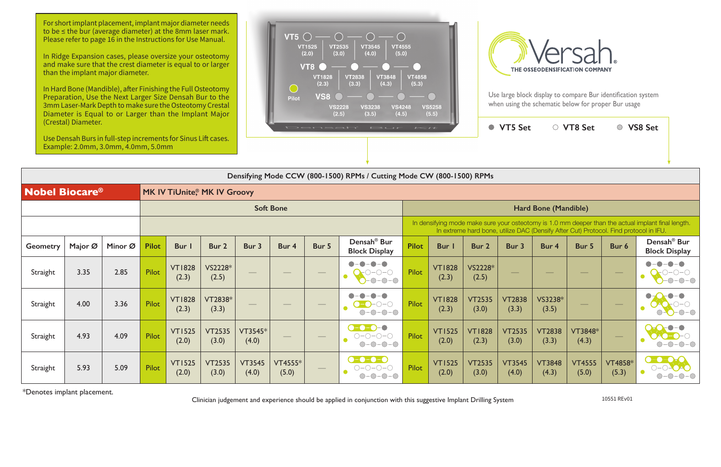**VT5 Set VT8 Set VS8 Set**

|                                  |         |         |              |                        |                                    |                        |                  |                   | Densifying Mode CCW (800-1500) RPMs / Cutting Mode CW (800-1500) RPMs    |                                                                                                                                                                                             |                        |                        |                        |                             |                                |                         |                                                 |  |  |
|----------------------------------|---------|---------|--------------|------------------------|------------------------------------|------------------------|------------------|-------------------|--------------------------------------------------------------------------|---------------------------------------------------------------------------------------------------------------------------------------------------------------------------------------------|------------------------|------------------------|------------------------|-----------------------------|--------------------------------|-------------------------|-------------------------------------------------|--|--|
| <b>Nobel Biocare<sup>®</sup></b> |         |         |              |                        | <b>MK IV TiUnite, MK IV Groovy</b> |                        |                  |                   |                                                                          |                                                                                                                                                                                             |                        |                        |                        |                             |                                |                         |                                                 |  |  |
|                                  |         |         |              |                        |                                    |                        | <b>Soft Bone</b> |                   |                                                                          |                                                                                                                                                                                             |                        |                        |                        | <b>Hard Bone (Mandible)</b> |                                |                         |                                                 |  |  |
|                                  |         |         |              |                        |                                    |                        |                  |                   |                                                                          | In densifying mode make sure your osteotomy is 1.0 mm deeper than the actual implant final length.<br>In extreme hard bone, utilize DAC (Densify After Cut) Protocol. Find protocol in IFU. |                        |                        |                        |                             |                                |                         |                                                 |  |  |
| <b>Geometry</b>                  | Major Ø | Minor Ø | <b>Pilot</b> | <b>Bur</b>             | Bur 2                              | Bur 3                  | Bur 4            | Bur 5             | Densah <sup>®</sup> Bur<br><b>Block Display</b>                          | <b>Pilot</b>                                                                                                                                                                                | Bur                    | Bur 2                  | Bur 3                  | Bur 4                       | Bur 5                          | Bur 6                   | Densah <sup>®</sup> Bur<br><b>Block Display</b> |  |  |
| Straight                         | 3.35    | 2.85    | Pilot        | <b>VT1828</b><br>(2.3) | VS2228*<br>(2.5)                   |                        |                  | $\hspace{0.05cm}$ | $-0$ - $0$ - $0$                                                         | Pilot                                                                                                                                                                                       | <b>VT1828</b><br>(2.3) | VS2228*<br>(2.5)       |                        |                             | $\overbrace{\hspace{25mm}}^{}$ |                         | $-0$ - $  \circ$                                |  |  |
| Straight                         | 4.00    | 3.36    | Pilot        | <b>VT1828</b><br>(2.3) | VT2838*<br>(3.3)                   | $\hspace{0.05cm}$      | ___              | $\hspace{0.05cm}$ | O<br>$-0-0-0$<br>$\bigcirc$ -                                            | Pilot                                                                                                                                                                                       | <b>VT1828</b><br>(2.3) | <b>VT2535</b><br>(3.0) | <b>VT2838</b><br>(3.3) | VS3238*<br>(3.5)            | $\hspace{0.05cm}$              |                         | $\bullet$<br>$O-O-O-O$                          |  |  |
| Straight                         | 4.93    | 4.09    | Pilot        | <b>VT1525</b><br>(2.0) | <b>VT2535</b><br>(3.0)             | VT3545*<br>(4.0)       |                  | $\hspace{0.05cm}$ | $\bullet$ - $\bullet$ - $\bullet$ - $\bullet$<br>$O-O-O-O-$<br>$O-O-O-O$ | Pilot                                                                                                                                                                                       | <b>VT1525</b><br>(2.0) | <b>VT1828</b><br>(2.3) | <b>VT2535</b><br>(3.0) | <b>VT2838</b><br>(3.3)      | VT3848*<br>(4.3)               |                         | $-\bigcap -\bigcap$                             |  |  |
| Straight                         | 5.93    | 5.09    | Pilot        | <b>VT1525</b><br>(2.0) | <b>VT2535</b><br>(3.0)             | <b>VT3545</b><br>(4.0) | VT4555*<br>(5.0) |                   | ----                                                                     | Pilot                                                                                                                                                                                       | <b>VT1525</b><br>(2.0) | <b>VT2535</b><br>(3.0) | <b>VT3545</b><br>(4.0) | <b>VT3848</b><br>(4.3)      | <b>VT4555</b><br>(5.0)         | <b>VT4858*</b><br>(5.3) | $\bullet$ - $\bullet$ - $\bullet$               |  |  |

For short implant placement, implant major diameter needs to be ≤ the bur (average diameter) at the 8mm laser mark. Please refer to page 16 in the Instructions for Use Manual.

\*Denotes implant placement.

Clinician judgement and experience should be applied in conjunction with this suggestive Implant Drilling System 10551 REv01

In Ridge Expansion cases, please oversize your osteotomy and make sure that the crest diameter is equal to or larger than the implant major diameter.

In Hard Bone (Mandible), after Finishing the Full Osteotomy Preparation, Use the Next Larger Size Densah Bur to the 3mm Laser-Mark Depth to make sure the Osteotomy Crestal Diameter is Equal to or Larger than the Implant Major (Crestal) Diameter.

Use Densah Burs in full-step increments for Sinus Lift cases. Example: 2.0mm, 3.0mm, 4.0mm, 5.0mm





Use large block display to compare Bur identification system when using the schematic below for proper Bur usage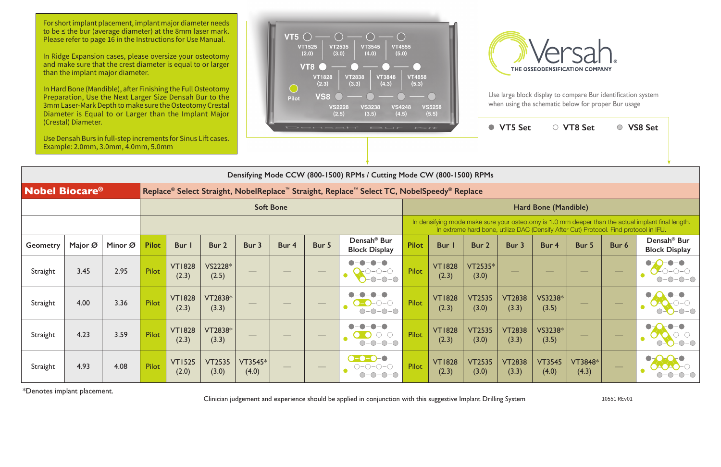|                                  | (Crestal) Diameter. | Use Densah Burs in full-step increments for Sinus Lift cases.<br>Example: 2.0mm, 3.0mm, 4.0mm, 5.0mm |              |                        |                        |                  |                  | Densah | $\mathbf{r}$ $\rightarrow$ $\mathbf{r}$                               | $\sim$                                                                                                                                                                                      |                        |                        | ● VT5 Set                |                        | ○ VT8 Set                |                          | ○ VS8 Set                                        |  |  |  |
|----------------------------------|---------------------|------------------------------------------------------------------------------------------------------|--------------|------------------------|------------------------|------------------|------------------|--------|-----------------------------------------------------------------------|---------------------------------------------------------------------------------------------------------------------------------------------------------------------------------------------|------------------------|------------------------|--------------------------|------------------------|--------------------------|--------------------------|--------------------------------------------------|--|--|--|
|                                  |                     |                                                                                                      |              |                        |                        |                  |                  |        | Densifying Mode CCW (800-1500) RPMs / Cutting Mode CW (800-1500) RPMs |                                                                                                                                                                                             |                        |                        |                          |                        |                          |                          |                                                  |  |  |  |
| <b>Nobel Biocare<sup>®</sup></b> |                     |                                                                                                      |              |                        |                        |                  |                  |        |                                                                       | Replace® Select Straight, NobelReplace™ Straight, Replace™ Select TC, NobelSpeedy® Replace                                                                                                  |                        |                        |                          |                        |                          |                          |                                                  |  |  |  |
|                                  |                     |                                                                                                      |              |                        |                        |                  | <b>Soft Bone</b> |        |                                                                       | Hard Bone (Mandible)                                                                                                                                                                        |                        |                        |                          |                        |                          |                          |                                                  |  |  |  |
|                                  |                     |                                                                                                      |              |                        |                        |                  |                  |        |                                                                       | In densifying mode make sure your osteotomy is 1.0 mm deeper than the actual implant final length.<br>In extreme hard bone, utilize DAC (Densify After Cut) Protocol. Find protocol in IFU. |                        |                        |                          |                        |                          |                          |                                                  |  |  |  |
| <b>Geometry</b>                  | Major Ø             | Minor Ø                                                                                              | <b>Pilot</b> | Bur I                  | Bur 2                  | Bur 3            | Bur 4            | Bur 5  | Densah <sup>®</sup> Bur<br><b>Block Display</b>                       | <b>Pilot</b>                                                                                                                                                                                | Bur                    | Bur 2                  | Bur 3                    | Bur 4                  | Bur 5                    | Bur 6                    | Densah <sup>®</sup> Bur<br><b>Block Display</b>  |  |  |  |
| Straight                         | 3.45                | 2.95                                                                                                 | <b>Pilot</b> | <b>VT1828</b><br>(2.3) | VS2228*<br>(2.5)       |                  |                  |        | )−∩−∩<br>$\bullet$<br>$O-O-O$                                         | Pilot                                                                                                                                                                                       | <b>VT1828</b><br>(2.3) | $VT2535*$<br>(3.0)     | $\overline{\phantom{0}}$ |                        | $\overline{\phantom{a}}$ |                          | $-0-0-0$<br>$\bullet$<br>$ \bigcirc$ $ \bigcirc$ |  |  |  |
| Straight                         | 4.00                | 3.36                                                                                                 | <b>Pilot</b> | <b>VT1828</b><br>(2.3) | VT2838*<br>(3.3)       |                  |                  |        | $\neg\neg$<br>$-0$ - $0$ - $\bigcirc$<br>∩-                           | Pilot                                                                                                                                                                                       | <b>VT1828</b><br>(2.3) | <b>VT2535</b><br>(3.0) | <b>VT2838</b><br>(3.3)   | VS3238*<br>(3.5)       |                          | $\overline{\phantom{a}}$ |                                                  |  |  |  |
| Straight                         | 4.23                | 3.59                                                                                                 | <b>Pilot</b> | <b>VT1828</b><br>(2.3) | VT2838*<br>(3.3)       |                  |                  |        | $-0-0-0$<br>$\bigcirc$                                                | Pilot                                                                                                                                                                                       | <b>VT1828</b><br>(2.3) | <b>VT2535</b><br>(3.0) | <b>VT2838</b><br>(3.3)   | VS3238*<br>(3.5)       | --                       |                          | $\bullet$<br>$O-O-O-O$                           |  |  |  |
| Straight                         | 4.93                | 4.08                                                                                                 | <b>Pilot</b> | <b>VT1525</b><br>(2.0) | <b>VT2535</b><br>(3.0) | VT3545*<br>(4.0) |                  |        | <b>a</b> -a-a<br>$O-O-O-O$<br>$O-O-O-O$                               | Pilot                                                                                                                                                                                       | <b>VT1828</b><br>(2.3) | <b>VT2535</b><br>(3.0) | <b>VT2838</b><br>(3.3)   | <b>VT3545</b><br>(4.0) | VT3848*<br>(4.3)         |                          |                                                  |  |  |  |

\*Denotes implant placement.

Clinician judgement and experience should be applied in conjunction with this suggestive Implant Drilling System 10551 REv01

For short implant placement, implant major diameter needs to be ≤ the bur (average diameter) at the 8mm laser mark. Please refer to page 16 in the Instructions for Use Manual.

In Ridge Expansion cases, please oversize your osteotomy and make sure that the crest diameter is equal to or larger than the implant major diameter.

In Hard Bone (Mandible), after Finishing the Full Osteotomy Preparation, Use the Next Larger Size Densah Bur to the 3mm Laser-Mark Depth to make sure the Osteotomy Crestal Diameter is Equal to or Larger than the Implant Major (Crestal) Diameter.





Use large block display to compare Bur identification system when using the schematic below for proper Bur usage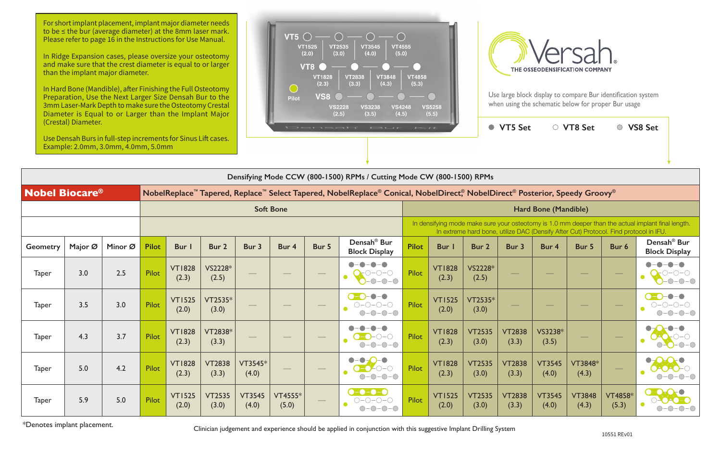Use large block display to compare Bur identification system when using the schematic below for proper Bur usage

|                       | (Crestal) Diameter. | Use Densah Burs in full-step increments for Sinus Lift cases.<br>Example: 2.0mm, 3.0mm, 4.0mm, 5.0mm |              |                        |                        |                                                                       |                                                                                                                                                    |       | Densah' Bur Kit                                                                                |                                                                                                                                                                                             |                        | ● VT5 Set              |                                   | ○ VT8 Set              |                        | ○ VS8 Set                         |                                                 |  |  |
|-----------------------|---------------------|------------------------------------------------------------------------------------------------------|--------------|------------------------|------------------------|-----------------------------------------------------------------------|----------------------------------------------------------------------------------------------------------------------------------------------------|-------|------------------------------------------------------------------------------------------------|---------------------------------------------------------------------------------------------------------------------------------------------------------------------------------------------|------------------------|------------------------|-----------------------------------|------------------------|------------------------|-----------------------------------|-------------------------------------------------|--|--|
|                       |                     |                                                                                                      |              |                        |                        | Densifying Mode CCW (800-1500) RPMs / Cutting Mode CW (800-1500) RPMs |                                                                                                                                                    |       |                                                                                                |                                                                                                                                                                                             |                        |                        |                                   |                        |                        |                                   |                                                 |  |  |
| <b>Nobel Biocare®</b> |                     |                                                                                                      |              |                        |                        |                                                                       | NobelReplace <sup>™</sup> Tapered, Replace <sup>™</sup> Select Tapered, NobelReplace® Conical, NobelDirect® NobelDirect® Posterior, Speedy Groovy® |       |                                                                                                |                                                                                                                                                                                             |                        |                        |                                   |                        |                        |                                   |                                                 |  |  |
|                       |                     |                                                                                                      |              |                        |                        |                                                                       | <b>Soft Bone</b>                                                                                                                                   |       |                                                                                                | Hard Bone (Mandible)                                                                                                                                                                        |                        |                        |                                   |                        |                        |                                   |                                                 |  |  |
|                       |                     |                                                                                                      |              |                        |                        |                                                                       |                                                                                                                                                    |       |                                                                                                | In densifying mode make sure your osteotomy is 1.0 mm deeper than the actual implant final length.<br>In extreme hard bone, utilize DAC (Densify After Cut) Protocol. Find protocol in IFU. |                        |                        |                                   |                        |                        |                                   |                                                 |  |  |
| <b>Geometry</b>       | Major Ø             | Minor Ø                                                                                              | <b>Pilot</b> | Bur I                  | Bur 2                  | Bur 3                                                                 | Bur 4                                                                                                                                              | Bur 5 | Densah <sup>®</sup> Bur<br><b>Block Display</b>                                                | <b>Pilot</b>                                                                                                                                                                                | Bur I                  | Bur <sub>2</sub>       | Bur 3                             | Bur 4                  | Bur 5                  | Bur 6                             | Densah <sup>®</sup> Bur<br><b>Block Display</b> |  |  |
| <b>Taper</b>          | 3.0                 | 2.5                                                                                                  | Pilot        | <b>VT1828</b><br>(2.3) | VS2228*<br>(2.5)       |                                                                       |                                                                                                                                                    |       | $\bullet - \bullet$<br>$-O$ -O $ O$<br>$-0-0-0$                                                | <b>Pilot</b>                                                                                                                                                                                | <b>VT1828</b><br>(2.3) | VS2228*<br>(2.5)       | $\overbrace{\phantom{aaaaa}}^{a}$ |                        | $\sim$                 | $\overbrace{\phantom{aaaaa}}^{x}$ | $O-O-O$                                         |  |  |
| <b>Taper</b>          | 3.5                 | 3.0                                                                                                  | Pilot        | <b>VT1525</b><br>(2.0) | VT2535*<br>(3.0)       |                                                                       |                                                                                                                                                    |       | $\bullet$ - $\bullet$<br>$\bigcirc$ = $\bigcirc$<br>$O-O-O-O$<br>$-0$ - $0$ - $0$<br>$\bigcap$ | Pilot                                                                                                                                                                                       | <b>VT1525</b><br>(2.0) | VT2535*<br>(3.0)       |                                   |                        | $\sim$                 |                                   | $\bullet - \bullet$<br>$O-O-O$                  |  |  |
| <b>Taper</b>          | 4.3                 | 3.7                                                                                                  | Pilot        | <b>VT1828</b><br>(2.3) | VT2838*<br>(3.3)       |                                                                       |                                                                                                                                                    |       | $ \bigcirc$ $ \bigcirc$<br>$-0$ - $0$ - $0$<br>$\bigcirc$                                      | <b>Pilot</b>                                                                                                                                                                                | <b>VT1828</b><br>(2.3) | <b>VT2535</b><br>(3.0) | <b>VT2838</b><br>(3.3)            | VS3238*<br>(3.5)       |                        |                                   | $-O$ - $O$                                      |  |  |
| <b>Taper</b>          | 5.0                 | 4.2                                                                                                  | Pilot        | <b>VT1828</b><br>(2.3) | <b>VT2838</b><br>(3.3) | VT3545*<br>(4.0)                                                      |                                                                                                                                                    |       | $\bullet$<br>$-C$ -O-O<br>$-0-0-0$<br>$\bigcirc$                                               | Pilot                                                                                                                                                                                       | <b>VT1828</b><br>(2.3) | <b>VT2535</b><br>(3.0) | <b>VT2838</b><br>(3.3)            | <b>VT3545</b><br>(4.0) | VT3848*<br>(4.3)       |                                   | $   \odot$                                      |  |  |
| <b>Taper</b>          | 5.9                 | 5.0                                                                                                  | Pilot        | <b>VT1525</b><br>(2.0) | <b>VT2535</b><br>(3.0) | <b>VT3545</b><br>(4.0)                                                | VT4555*<br>(5.0)                                                                                                                                   |       | $\bullet$ - $\bullet$ - $\bullet$ - $\bullet$<br>$-0-0-0$                                      | <b>Pilot</b>                                                                                                                                                                                | <b>VT1525</b><br>(2.0) | <b>VT2535</b><br>(3.0) | <b>VT2838</b><br>(3.3)            | <b>VT3545</b><br>(4.0) | <b>VT3848</b><br>(4.3) | <b>VT4858*</b><br>(5.3)           | $\rightarrow$ $\rightarrow$                     |  |  |

\*Denotes implant placement.

Clinician judgement and experience should be applied in conjunction with this suggestive Implant Drilling System

For short implant placement, implant major diameter needs to be ≤ the bur (average diameter) at the 8mm laser mark. Please refer to page 16 in the Instructions for Use Manual.

In Ridge Expansion cases, please oversize your osteotomy and make sure that the crest diameter is equal to or larger than the implant major diameter.

In Hard Bone (Mandible), after Finishing the Full Osteotomy Preparation, Use the Next Larger Size Densah Bur to the 3mm Laser-Mark Depth to make sure the Osteotomy Crestal Diameter is Equal to or Larger than the Implant Major (Crestal) Diameter.



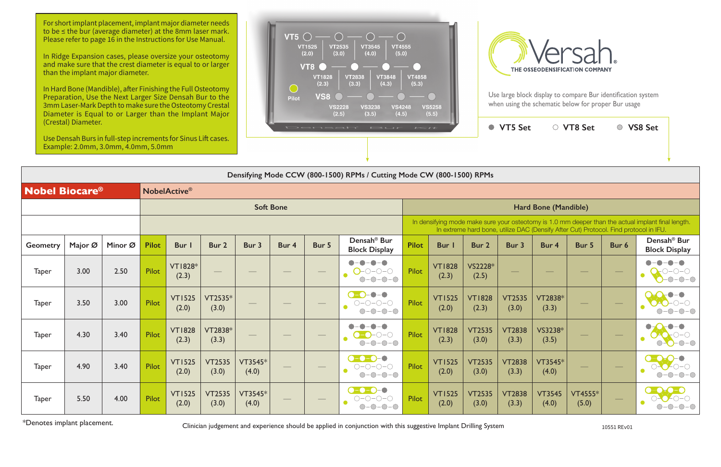**VT5 Set VT8 Set VS8 Set**

|                                                              | Densifying Mode CCW (800-1500) RPMs / Cutting Mode CW (800-1500) RPMs |         |              |                         |                        |                  |                  |                                   |                                                                                                                                         |                      |                        |                        |                                |                        |                                                                                       |                                |                                                                                                    |  |  |
|--------------------------------------------------------------|-----------------------------------------------------------------------|---------|--------------|-------------------------|------------------------|------------------|------------------|-----------------------------------|-----------------------------------------------------------------------------------------------------------------------------------------|----------------------|------------------------|------------------------|--------------------------------|------------------------|---------------------------------------------------------------------------------------|--------------------------------|----------------------------------------------------------------------------------------------------|--|--|
| <b>Nobel Biocare<sup>®</sup></b><br>NobelActive <sup>®</sup> |                                                                       |         |              |                         |                        |                  |                  |                                   |                                                                                                                                         |                      |                        |                        |                                |                        |                                                                                       |                                |                                                                                                    |  |  |
|                                                              |                                                                       |         |              |                         |                        |                  | <b>Soft Bone</b> |                                   |                                                                                                                                         | Hard Bone (Mandible) |                        |                        |                                |                        |                                                                                       |                                |                                                                                                    |  |  |
|                                                              |                                                                       |         |              |                         |                        |                  |                  |                                   |                                                                                                                                         |                      |                        |                        |                                |                        | In extreme hard bone, utilize DAC (Densify After Cut) Protocol. Find protocol in IFU. |                                | In densifying mode make sure your osteotomy is 1.0 mm deeper than the actual implant final length. |  |  |
| <b>Geometry</b>                                              | Major Ø                                                               | Minor Ø | <b>Pilot</b> | Bur I                   | Bur 2                  | Bur 3            | Bur 4            | Bur 5                             | Densah <sup>®</sup> Bur<br><b>Block Display</b>                                                                                         | <b>Pilot</b>         | Bur                    | Bur 2                  | Bur 3                          | Bur 4                  | Bur 5                                                                                 | Bur 6                          | Densah <sup>®</sup> Bur<br><b>Block Display</b>                                                    |  |  |
| <b>Taper</b>                                                 | 3.00                                                                  | 2.50    | <b>Pilot</b> | <b>VT1828*</b><br>(2.3) | $\hspace{0.05cm}$      |                  |                  | $\hspace{0.05cm}$                 | $\blacksquare$<br>$-\bullet$<br>$O$ -0-0-0<br>$\bullet$<br>$O-O-O-O$                                                                    | <b>Pilot</b>         | <b>VT1828</b><br>(2.3) | VS2228*<br>(2.5)       | $\overbrace{\hspace{25mm}}^{}$ |                        | $\overbrace{\hspace{25mm}}^{}$                                                        | $\overbrace{\hspace{25mm}}^{}$ | $O-O-O$                                                                                            |  |  |
| <b>Taper</b>                                                 | 3.50                                                                  | 3.00    | <b>Pilot</b> | <b>VT1525</b><br>(2.0)  | VT2535*<br>(3.0)       |                  |                  | $\overbrace{\phantom{123321}}$    | $\bullet - \bullet$<br>$\bigcap$<br>$\bigcirc\negmedspace-\bigcirc\negmedspace-\bigcirc\negmedspace-\bigcirc$<br>$\bullet$<br>$O-O-O-O$ | <b>Pilot</b>         | <b>VT1525</b><br>(2.0) | <b>VT1828</b><br>(2.3) | <b>VT2535</b><br>(3.0)         | VT2838*<br>(3.3)       |                                                                                       |                                |                                                                                                    |  |  |
| <b>Taper</b>                                                 | 4.30                                                                  | 3.40    | <b>Pilot</b> | <b>VT1828</b><br>(2.3)  | VT2838*<br>(3.3)       |                  |                  |                                   | $\bullet$<br>$\blacksquare$<br>$0 - 0 - 0 - 0$<br>$O-O-O-O-$                                                                            | <b>Pilot</b>         | <b>VT1828</b><br>(2.3) | <b>VT2535</b><br>(3.0) | <b>VT2838</b><br>(3.3)         | VS3238*<br>(3.5)       |                                                                                       |                                | $ \bigcirc$ $ \bigcirc$                                                                            |  |  |
| <b>Taper</b>                                                 | 4.90                                                                  | 3.40    | <b>Pilot</b> | <b>VT1525</b><br>(2.0)  | <b>VT2535</b><br>(3.0) | VT3545*<br>(4.0) |                  | $\overbrace{\phantom{aaaaa}}^{a}$ | $\bullet$ - $\bullet$ - $\bullet$ - $\circ$<br>$\bigcirc\negmedspace-\bigcirc\negmedspace-\bigcirc\negmedspace-\bigcirc$<br>$O-O-O-O$   | <b>Pilot</b>         | <b>VT1525</b><br>(2.0) | <b>VT2535</b><br>(3.0) | <b>VT2838</b><br>(3.3)         | VT3545*<br>(4.0)       |                                                                                       |                                |                                                                                                    |  |  |
| <b>Taper</b>                                                 | 5.50                                                                  | 4.00    | <b>Pilot</b> | <b>VT1525</b><br>(2.0)  | <b>VT2535</b><br>(3.0) | VT3545*<br>(4.0) |                  | $\hspace{0.05cm}$                 | $\bullet$ -0-0-0<br>$O-O-O-O$<br>$O-O-O-O-$                                                                                             | Pilot                | <b>VT1525</b><br>(2.0) | <b>VT2535</b><br>(3.0) | <b>VT2838</b><br>(3.3)         | <b>VT3545</b><br>(4.0) | <b>VT4555*</b><br>(5.0)                                                               | $\overbrace{\hspace{25mm}}^{}$ | $\bullet$ - $\bullet$                                                                              |  |  |

For short implant placement, implant major diameter needs to be ≤ the bur (average diameter) at the 8mm laser mark. Please refer to page 16 in the Instructions for Use Manual.

\*Denotes implant placement. Clinician judgement and experience should be applied in conjunction with this suggestive Implant Drilling System 10551 REv01

In Ridge Expansion cases, please oversize your osteotomy and make sure that the crest diameter is equal to or larger than the implant major diameter.

In Hard Bone (Mandible), after Finishing the Full Osteotomy Preparation, Use the Next Larger Size Densah Bur to the 3mm Laser-Mark Depth to make sure the Osteotomy Crestal Diameter is Equal to or Larger than the Implant Major (Crestal) Diameter.

Use Densah Burs in full-step increments for Sinus Lift cases. Example: 2.0mm, 3.0mm, 4.0mm, 5.0mm





Use large block display to compare Bur identification system when using the schematic below for proper Bur usage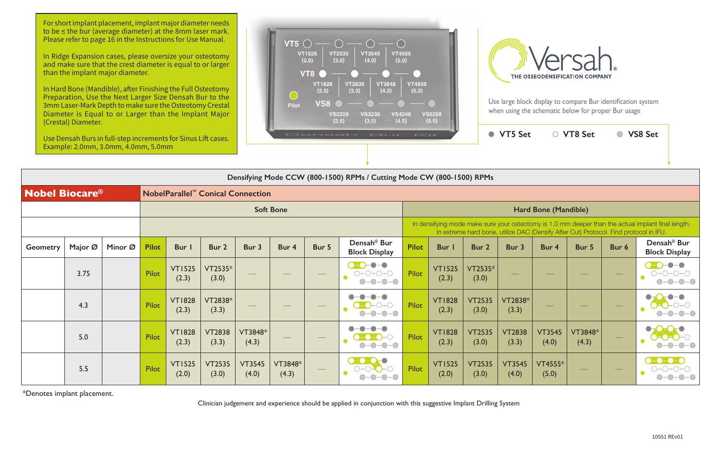

|                       |                  |         |              |                        |                                               |                                |                  | Densifying Mode CCW (800-1500) RPMs / Cutting Mode CW (800-1500) RPMs |                                                                                                               |                                                                                                                                                                                             |                        |                        |                        |                        |                                |        |                                                 |  |  |  |  |  |
|-----------------------|------------------|---------|--------------|------------------------|-----------------------------------------------|--------------------------------|------------------|-----------------------------------------------------------------------|---------------------------------------------------------------------------------------------------------------|---------------------------------------------------------------------------------------------------------------------------------------------------------------------------------------------|------------------------|------------------------|------------------------|------------------------|--------------------------------|--------|-------------------------------------------------|--|--|--|--|--|
| <b>Nobel Biocare®</b> |                  |         |              |                        | NobelParallel <sup>™</sup> Conical Connection |                                |                  |                                                                       |                                                                                                               |                                                                                                                                                                                             |                        |                        |                        |                        |                                |        |                                                 |  |  |  |  |  |
|                       | <b>Soft Bone</b> |         |              |                        |                                               |                                |                  |                                                                       |                                                                                                               |                                                                                                                                                                                             |                        |                        | Hard Bone (Mandible)   |                        |                                |        |                                                 |  |  |  |  |  |
|                       |                  |         |              |                        |                                               |                                |                  |                                                                       |                                                                                                               | In densifying mode make sure your osteotomy is 1.0 mm deeper than the actual implant final length.<br>In extreme hard bone, utilize DAC (Densify After Cut) Protocol. Find protocol in IFU. |                        |                        |                        |                        |                                |        |                                                 |  |  |  |  |  |
| <b>Geometry</b>       | Major Ø          | Minor Ø | <b>Pilot</b> | <b>Bur</b>             | Bur 2                                         | Bur 3                          | Bur 4            | Bur 5                                                                 | Densah <sup>®</sup> Bur<br><b>Block Display</b>                                                               | <b>Pilot</b>                                                                                                                                                                                | <b>Bur</b>             | Bur 2                  | Bur 3                  | Bur 4                  | Bur 5                          | Bur 6  | Densah <sup>®</sup> Bur<br><b>Block Display</b> |  |  |  |  |  |
|                       | 3.75             |         | <b>Pilot</b> | <b>VT1525</b><br>(2.3) | VT2535*<br>(3.0)                              |                                |                  | $\hspace{0.05cm}$                                                     | $\bullet$ $\bullet$<br>$\bigcirc\negmedspace-\bigcirc\negmedspace-\bigcirc\negmedspace-\bigcirc$<br>$O-O-O-O$ | Pilot                                                                                                                                                                                       | <b>VT1525</b><br>(2.3) | VT2535*<br>(3.0)       |                        |                        | $\overline{\phantom{a}}$       |        |                                                 |  |  |  |  |  |
|                       | 4.3              |         | Pilot        | <b>VT1828</b><br>(2.3) | VT2838*<br>(3.3)                              | $\overbrace{\hspace{25mm}}^{}$ |                  |                                                                       | $\bullet - \bullet$<br>$-0-0-0$                                                                               | Pilot                                                                                                                                                                                       | <b>VT1828</b><br>(2.3) | <b>VT2535</b><br>(3.0) | VT2838*<br>(3.3)       |                        | $\frac{1}{2}$                  |        |                                                 |  |  |  |  |  |
|                       | 5.0              |         | <b>Pilot</b> | <b>VT1828</b><br>(2.3) | <b>VT2838</b><br>(3.3)                        | VT3848*<br>(4.3)               |                  |                                                                       | $O-O-O-O$                                                                                                     | Pilot                                                                                                                                                                                       | <b>VT1828</b><br>(2.3) | <b>VT2535</b><br>(3.0) | <b>VT2838</b><br>(3.3) | <b>VT3545</b><br>(4.0) | VT3848*<br>(4.3)               |        |                                                 |  |  |  |  |  |
|                       | 5.5              |         | Pilot        | <b>VT1525</b><br>(2.0) | <b>VT2535</b><br>(3.0)                        | <b>VT3545</b><br>(4.0)         | VT3848*<br>(4.3) |                                                                       |                                                                                                               | Pilot                                                                                                                                                                                       | <b>VT1525</b><br>(2.0) | <b>VT2535</b><br>(3.0) | <b>VT3545</b><br>(4.0) | VT4555*<br>(5.0)       | $\overbrace{\hspace{25mm}}^{}$ | $\sim$ |                                                 |  |  |  |  |  |

For short implant placement, implant major diameter needs to be ≤ the bur (average diameter) at the 8mm laser mark. Please refer to page 16 in the Instructions for Use Manual.

\*Denotes implant placement.

Clinician judgement and experience should be applied in conjunction with this suggestive Implant Drilling System

In Ridge Expansion cases, please oversize your osteotomy and make sure that the crest diameter is equal to or larger than the implant major diameter.

In Hard Bone (Mandible), after Finishing the Full Osteotomy Preparation, Use the Next Larger Size Densah Bur to the 3mm Laser-Mark Depth to make sure the Osteotomy Crestal Diameter is Equal to or Larger than the Implant Major (Crestal) Diameter.

Use Densah Burs in full-step increments for Sinus Lift cases. Example: 2.0mm, 3.0mm, 4.0mm, 5.0mm